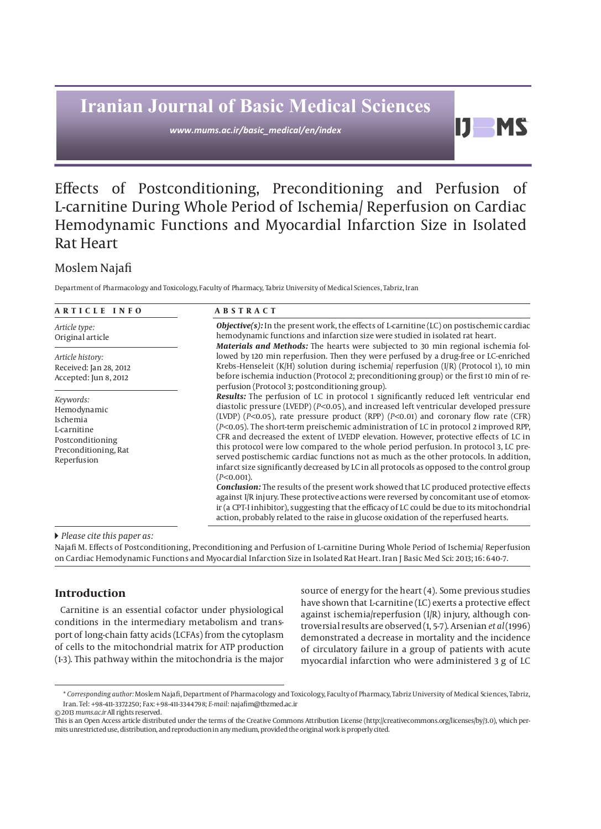# **Iranian Journal of Basic Medical Sciences**

*www.mums.ac.ir/basic\_medical/en/index*

## D. **MS**

## Effects of Postconditioning, Preconditioning and Perfusion of L-carnitine During Whole Period of Ischemia/ Reperfusion on Cardiac Hemodynamic Functions and Myocardial Infarction Size in Isolated Rat Heart

## Moslem Najafi

Department of Pharmacology and Toxicology, Faculty of Pharmacy, Tabriz University of Medical Sciences, Tabriz, Iran

| ARTICLE INFO                                                                                                   | <b>ABSTRACT</b>                                                                                                                                                                                                                                                                                                                                                                                                                                                                                                                                                                                                                                                                                                                                                                                                                                                                                                                                                                                                                                                                                                                                             |
|----------------------------------------------------------------------------------------------------------------|-------------------------------------------------------------------------------------------------------------------------------------------------------------------------------------------------------------------------------------------------------------------------------------------------------------------------------------------------------------------------------------------------------------------------------------------------------------------------------------------------------------------------------------------------------------------------------------------------------------------------------------------------------------------------------------------------------------------------------------------------------------------------------------------------------------------------------------------------------------------------------------------------------------------------------------------------------------------------------------------------------------------------------------------------------------------------------------------------------------------------------------------------------------|
| Article type:<br>Original article                                                                              | <b>Objective(s):</b> In the present work, the effects of L-carnitine (LC) on postischemic cardiac<br>hemodynamic functions and infarction size were studied in isolated rat heart.<br>Materials and Methods: The hearts were subjected to 30 min regional ischemia fol-                                                                                                                                                                                                                                                                                                                                                                                                                                                                                                                                                                                                                                                                                                                                                                                                                                                                                     |
| Article history:<br>Received: Jan 28, 2012<br>Accepted: Jun 8, 2012                                            | lowed by 120 min reperfusion. Then they were perfused by a drug-free or LC-enriched<br>Krebs-Henseleit (K/H) solution during ischemia/ reperfusion $(I/R)$ (Protocol 1), 10 min<br>before ischemia induction (Protocol 2; preconditioning group) or the first 10 min of re-<br>perfusion (Protocol 3; postconditioning group).                                                                                                                                                                                                                                                                                                                                                                                                                                                                                                                                                                                                                                                                                                                                                                                                                              |
| Keywords:<br>Hemodynamic<br>Ischemia<br>L-carnitine<br>Postconditioning<br>Preconditioning, Rat<br>Reperfusion | <b>Results:</b> The perfusion of LC in protocol 1 significantly reduced left ventricular end<br>diastolic pressure (LVEDP) ( $P<$ 0.05), and increased left ventricular developed pressure<br>(LVDP) ( $P<0.05$ ), rate pressure product (RPP) ( $P<0.01$ ) and coronary flow rate (CFR)<br>(P<0.05). The short-term preischemic administration of LC in protocol 2 improved RPP,<br>CFR and decreased the extent of LVEDP elevation. However, protective effects of LC in<br>this protocol were low compared to the whole period perfusion. In protocol 3, LC pre-<br>served postischemic cardiac functions not as much as the other protocols. In addition,<br>infarct size significantly decreased by LC in all protocols as opposed to the control group<br>$(P<0.001)$ .<br>Conclusion: The results of the present work showed that LC produced protective effects<br>against I/R injury. These protective actions were reversed by concomitant use of etomox-<br>ir (a CPT-I inhibitor), suggesting that the efficacy of LC could be due to its mitochondrial<br>action, probably related to the raise in glucose oxidation of the reperfused hearts. |

#### *Please cite this paper as:*

Najafi M. Effects of Postconditioning, Preconditioning and Perfusion of L-carnitine During Whole Period of Ischemia/ Reperfusion on Cardiac Hemodynamic Functions and Myocardial Infarction Size in Isolated Rat Heart. Iran J Basic Med Sci: 2013; 16: 648-7.

### **Introduction**

Carnitine is an essential cofactor under physiological conditions in the intermediary metabolism and transport of long-chain fatty acids (LCFAs) from the cytoplasm of cells to the mitochondrial matrix for ATP production (1-3). This pathway within the mitochondria is the major source of energy for the heart (4). Some previous studies have shown that L-carnitine (LC) exerts a protective effect against ischemia/reperfusion (I/R) injury, although controversial results are observed (1, 5-7). Arsenian *et al* (1996) demonstrated a decrease in mortality and the incidence of circulatory failure in a group of patients with acute myocardial infarction who were administered 3 g of LC

<sup>\*</sup> *Corresponding author:* Moslem Najafi, Department of Pharmacology and Toxicology, Faculty of Pharmacy, Tabriz University of Medical Sciences, Tabriz, Iran. Tel: +98-411-3372250; Fax: +98-411-3344798; *E-mail:* najafim@tbzmed.ac.ir © 2013 *mums.ac.ir* All rights reserved.

This is an Open Access article distributed under the terms of the Creative Commons Attribution License (http://creativecommons.org/licenses/by/3.0), which permits unrestricted use, distribution, and reproduction in any medium, provided the original work is properly cited.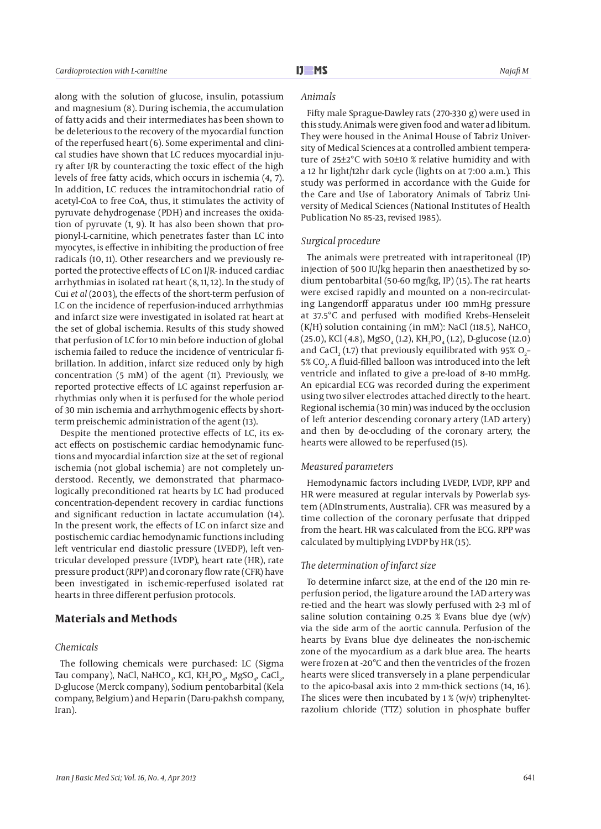along with the solution of glucose, insulin, potassium and magnesium (8). During ischemia, the accumulation of fatty acids and their intermediates has been shown to be deleterious to the recovery of the myocardial function of the reperfused heart (6). Some experimental and clinical studies have shown that LC reduces myocardial injury after I/R by counteracting the toxic effect of the high levels of free fatty acids, which occurs in ischemia (4, 7). In addition, LC reduces the intramitochondrial ratio of acetyl-CoA to free CoA, thus, it stimulates the activity of pyruvate dehydrogenase (PDH) and increases the oxidation of pyruvate (1, 9). It has also been shown that propionyl-L-carnitine, which penetrates faster than LC into myocytes, is effective in inhibiting the production of free radicals (10, 11). Other researchers and we previously reported the protective effects of LC on I/R- induced cardiac arrhythmias in isolated rat heart (8, 11, 12). In the study of Cui *et al* (2003), the effects of the short-term perfusion of LC on the incidence of reperfusion-induced arrhythmias and infarct size were investigated in isolated rat heart at the set of global ischemia. Results of this study showed that perfusion of LC for 10 min before induction of global ischemia failed to reduce the incidence of ventricular fibrillation. In addition, infarct size reduced only by high concentration (5 mM) of the agent (11). Previously, we reported protective effects of LC against reperfusion arrhythmias only when it is perfused for the whole period of 30 min ischemia and arrhythmogenic effects by shortterm preischemic administration of the agent (13).

Despite the mentioned protective effects of LC, its exact effects on postischemic cardiac hemodynamic functions and myocardial infarction size at the set of regional ischemia (not global ischemia) are not completely understood. Recently, we demonstrated that pharmacologically preconditioned rat hearts by LC had produced concentration-dependent recovery in cardiac functions and significant reduction in lactate accumulation (14). In the present work, the effects of LC on infarct size and postischemic cardiac hemodynamic functions including left ventricular end diastolic pressure (LVEDP), left ventricular developed pressure (LVDP), heart rate (HR), rate pressure product (RPP) and coronary flow rate (CFR) have been investigated in ischemic-reperfused isolated rat hearts in three different perfusion protocols.

#### **Materials and Methods**

#### *Chemicals*

The following chemicals were purchased: LC (Sigma Tau company), NaCl, NaHCO<sub>3</sub>, KCl, KH<sub>2</sub>PO<sub>4</sub>, MgSO<sub>4</sub>, CaCl<sub>2</sub>, D-glucose (Merck company), Sodium pentobarbital (Kela company, Belgium) and Heparin (Daru-pakhsh company, Iran).

#### *Animals*

Fifty male Sprague-Dawley rats (270-330 g) were used in this study. Animals were given food and water ad libitum. They were housed in the Animal House of Tabriz University of Medical Sciences at a controlled ambient temperature of 25±2°C with 50±10 % relative humidity and with a 12 hr light/12hr dark cycle (lights on at 7:00 a.m.). This study was performed in accordance with the Guide for the Care and Use of Laboratory Animals of Tabriz University of Medical Sciences (National Institutes of Health Publication No 85-23, revised 1985).

#### *Surgical procedure*

The animals were pretreated with intraperitoneal (IP) injection of 500 IU/kg heparin then anaesthetized by sodium pentobarbital (50-60 mg/kg, IP) (15). The rat hearts were excised rapidly and mounted on a non-recirculating Langendorff apparatus under 100 mmHg pressure at 37.5°C and perfused with modified Krebs–Henseleit  $(K/H)$  solution containing (in mM): NaCl (118.5), NaHCO<sub>3</sub> (25.0), KCl (4.8), MgSO<sub>4</sub> (1.2), KH<sub>2</sub>PO<sub>4</sub> (1.2), D-glucose (12.0) and CaCl<sub>2</sub> (1.7) that previously equilibrated with 95% O<sub>2</sub>-5% CO<sub>2</sub>. A fluid-filled balloon was introduced into the left ventricle and inflated to give a pre-load of 8–10 mmHg. An epicardial ECG was recorded during the experiment using two silver electrodes attached directly to the heart. Regional ischemia (30 min) was induced by the occlusion of left anterior descending coronary artery (LAD artery) and then by de-occluding of the coronary artery, the hearts were allowed to be reperfused (15).

#### *Measured parameters*

Hemodynamic factors including LVEDP, LVDP, RPP and HR were measured at regular intervals by Powerlab system (ADInstruments, Australia). CFR was measured by a time collection of the coronary perfusate that dripped from the heart. HR was calculated from the ECG. RPP was calculated by multiplying LVDP by HR (15).

#### *The determination of infarct size*

To determine infarct size, at the end of the 120 min reperfusion period, the ligature around the LAD artery was re-tied and the heart was slowly perfused with 2-3 ml of saline solution containing 0.25 % Evans blue dye  $(w/v)$ via the side arm of the aortic cannula. Perfusion of the hearts by Evans blue dye delineates the non-ischemic zone of the myocardium as a dark blue area. The hearts were frozen at -20°C and then the ventricles of the frozen hearts were sliced transversely in a plane perpendicular to the apico-basal axis into 2 mm-thick sections (14, 16). The slices were then incubated by  $1\%$  (w/v) triphenyltetrazolium chloride (TTZ) solution in phosphate buffer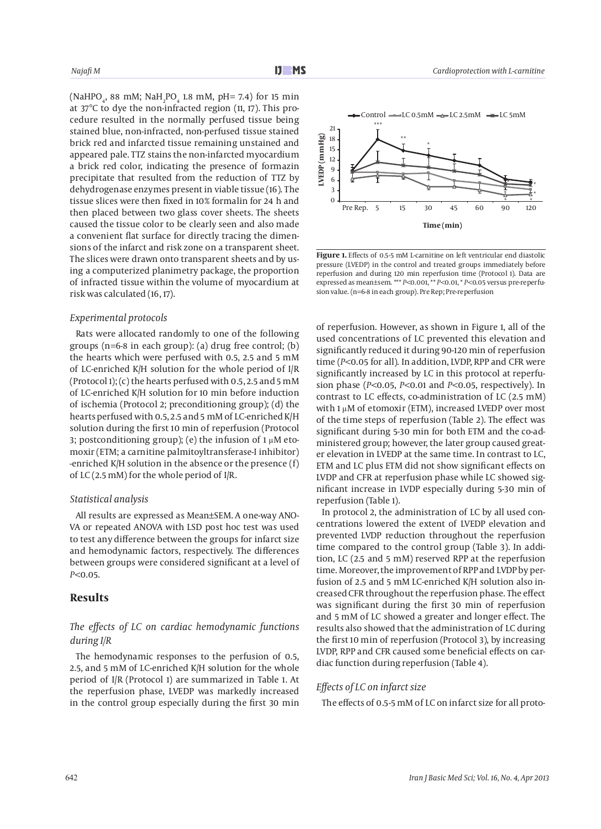(NaHPO<sub>4</sub>, 88 mM; NaH<sub>2</sub>PO<sub>4</sub> 1.8 mM, pH= 7.4) for 15 min at 37°C to dye the non-infracted region (11, 17). This procedure resulted in the normally perfused tissue being stained blue, non-infracted, non-perfused tissue stained brick red and infarcted tissue remaining unstained and appeared pale. TTZ stains the non-infarcted myocardium a brick red color, indicating the presence of formazin precipitate that resulted from the reduction of TTZ by dehydrogenase enzymes present in viable tissue (16). The tissue slices were then fixed in 10% formalin for 24 h and then placed between two glass cover sheets. The sheets caused the tissue color to be clearly seen and also made a convenient flat surface for directly tracing the dimensions of the infarct and risk zone on a transparent sheet. The slices were drawn onto transparent sheets and by using a computerized planimetry package, the proportion of infracted tissue within the volume of myocardium at risk was calculated (16, 17).

#### *Experimental protocols*

Rats were allocated randomly to one of the following groups (n=6-8 in each group): (a) drug free control; (b) the hearts which were perfused with 0.5, 2.5 and 5 mM of LC-enriched K/H solution for the whole period of I/R (Protocol 1); (c) the hearts perfused with 0.5, 2.5 and 5 mM of LC-enriched K/H solution for 10 min before induction of ischemia (Protocol 2; preconditioning group); (d) the hearts perfused with 0.5, 2.5 and 5 mM of LC-enriched K/H solution during the first 10 min of reperfusion (Protocol 3; postconditioning group); (e) the infusion of 1 μM etomoxir (ETM; a carnitine palmitoyltransferase-I inhibitor) -enriched K/H solution in the absence or the presence (f) of LC (2.5 mM) for the whole period of I/R.

#### *Statistical analysis*

All results are expressed as Mean±SEM. A one-way ANO-VA or repeated ANOVA with LSD post hoc test was used to test any difference between the groups for infarct size and hemodynamic factors, respectively. The differences between groups were considered significant at a level of *P<*0.05.

#### **Results**

#### *The effects of LC on cardiac hemodynamic functions during I/R*

The hemodynamic responses to the perfusion of 0.5, 2.5, and 5 mM of LC-enriched K/H solution for the whole period of I/R (Protocol 1) are summarized in Table 1. At the reperfusion phase, LVEDP was markedly increased in the control group especially during the first 30 min



**Figure 1.** Effects of 0.5-5 mM L-carnitine on left ventricular end diastolic pressure (LVEDP) in the control and treated groups immediately before reperfusion and during 120 min reperfusion time (Protocol 1). Data are expressed as mean±sem. \*\*\* *P<*0.001, \*\* *P<*0.01, \* *P<*0.05 versus pre-reperfusion value. (n=6-8 in each group). Pre Rep; Pre-reperfusion

of reperfusion. However, as shown in Figure 1, all of the used concentrations of LC prevented this elevation and significantly reduced it during 90-120 min of reperfusion time (*P<*0.05 for all). In addition, LVDP, RPP and CFR were significantly increased by LC in this protocol at reperfusion phase (*P<*0.05, *P<*0.01 and *P<*0.05, respectively). In contrast to LC effects, co-administration of LC (2.5 mM) with 1 μM of etomoxir (ETM), increased LVEDP over most of the time steps of reperfusion (Table 2). The effect was significant during 5-30 min for both ETM and the co-administered group; however, the later group caused greater elevation in LVEDP at the same time. In contrast to LC, ETM and LC plus ETM did not show significant effects on LVDP and CFR at reperfusion phase while LC showed significant increase in LVDP especially during 5-30 min of reperfusion (Table 1).

In protocol 2, the administration of LC by all used concentrations lowered the extent of LVEDP elevation and prevented LVDP reduction throughout the reperfusion time compared to the control group (Table 3). In addition, LC (2.5 and 5 mM) reserved RPP at the reperfusion time. Moreover, the improvement of RPP and LVDP by perfusion of 2.5 and 5 mM LC-enriched K/H solution also increased CFR throughout the reperfusion phase. The effect was significant during the first 30 min of reperfusion and 5 mM of LC showed a greater and longer effect. The results also showed that the administration of LC during the first 10 min of reperfusion (Protocol 3), by increasing LVDP, RPP and CFR caused some beneficial effects on cardiac function during reperfusion (Table 4).

#### *Effects of LC on infarct size*

The effects of 0.5-5 mM of LC on infarct size for all proto-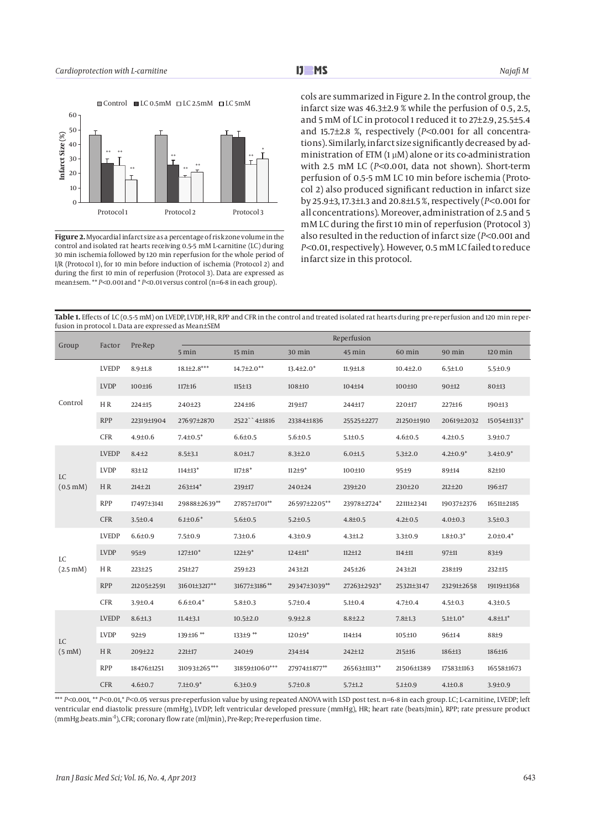

**Figure 2.** Myocardial infarct size as a percentage of risk zone volume in the control and isolated rat hearts receiving 0.5-5 mM L-carnitine (LC) during 30 min ischemia followed by 120 min reperfusion for the whole period of I/R (Protocol 1), for 10 min before induction of ischemia (Protocol 2) and during the first 10 min of reperfusion (Protocol 3). Data are expressed as mean±sem. \*\* *P<*0.001 and \* *P<*0.01 versus control (n=6-8 in each group).

cols are summarized in Figure 2. In the control group, the infarct size was 46.3±2.9 % while the perfusion of 0.5, 2.5, and 5 mM of LC in protocol 1 reduced it to 27±2.9, 25.5±5.4 and 15.7±2.8 %, respectively (*P<*0.001 for all concentrations). Similarly, infarct size significantly decreased by administration of  $ETM(1 \mu M)$  alone or its co-administration with 2.5 mM LC (*P<*0.001, data not shown). Short-term perfusion of 0.5-5 mM LC 10 min before ischemia (Protocol 2) also produced significant reduction in infarct size by 25.9±3, 17.3±1.3 and 20.8±1.5 %, respectively (*P<*0.001 for all concentrations). Moreover, administration of 2.5 and 5 mM LC during the first 10 min of reperfusion (Protocol 3) also resulted in the reduction of infarct size (*P<*0.001 and *P<*0.01, respectively). However, 0.5 mM LC failed to reduce infarct size in this protocol.

**Table 1.** Effects of LC (0.5-5 mM) on LVEDP, LVDP, HR, RPP and CFR in the control and treated isolated rat hearts during pre-reperfusion and 120 min reperfusion in protocol 1. Data are expressed as Mean±SEM

| Group                         | Factor       | Pre-Rep       | Reperfusion               |                   |                           |                |                |                 |                 |  |
|-------------------------------|--------------|---------------|---------------------------|-------------------|---------------------------|----------------|----------------|-----------------|-----------------|--|
|                               |              |               | 5 min                     | 15 min            | 30 min                    | 45 min         | 60 min         | 90 min          | $120$ min       |  |
| Control                       | <b>LVEDP</b> | $8.9 \pm 1.8$ | $18.1{\pm}2.8***$         | $14.7{\pm}2.0**$  | $13.4 \pm 2.0^*$          | $11.9 \pm 1.8$ | $10.4 \pm 2.0$ | $6.5 \pm 1.0$   | $5.5 \pm 0.9$   |  |
|                               | <b>LVDP</b>  | 100±16        | 117±16                    | $115 \pm 13$      | 108±10                    | 104±14         | 100±10         | 90±12           | 80±13           |  |
|                               | HR           | 224±15        | 240±23                    | 224±16            | 219±17                    | 244±17         | 220±17         | 227±16          | 190±13          |  |
|                               | <b>RPP</b>   | 22319±1904    | 27697±2870                | 2522 4±1816       | 23384±1836                | 25525±2277     | 21250±1910     | 20619±2032      | 15054±1133*     |  |
|                               | <b>CFR</b>   | $4.9 \pm 0.6$ | $7.4 \pm 0.5^*$           | $6.6{\pm}0.5$     | $5.6{\pm}0.5$             | $5.1 \pm 0.5$  | $4.6 \pm 0.5$  | $4.2{\pm}0.5$   | $3.9 \pm 0.7$   |  |
|                               | <b>LVEDP</b> | $8.4 + 2$     | $8.5 \pm 3.1$             | $8.0 \pm 1.7$     | $8.3{\pm}2.0$             | $6.0 \pm 1.5$  | $5.3 \pm 2.0$  | $4.2{\pm}0.9*$  | $3.4 \pm 0.9^*$ |  |
| <b>LC</b>                     | <b>LVDP</b>  | 83±12         | $114 \pm 13$ <sup>*</sup> | $117 + 8*$        | $112 + 9*$                | 100±10         | 95±9           | 89±14           | 82±10           |  |
| $(0.5 \text{ mM})$            | HR           | $214 + 21$    | 263±14*                   | 239±17            | 240±24                    | 239±20         | 230±20         | 212±20          | 196±17          |  |
|                               | <b>RPP</b>   | 17497±3141    | 29888±2639**              | 27857±1701**      | 26597±2205**              | 23978±2724*    | 22111±2341     | 19037±2376      | 16511±2185      |  |
|                               | <b>CFR</b>   | $3.5 \pm 0.4$ | $6.1{\pm}0.6*$            | $5.6 \pm 0.5$     | $5.2 \pm 0.5$             | $4.8 \pm 0.5$  | $4.2{\pm}0.5$  | $4.0 \pm 0.3$   | $3.5 \pm 0.3$   |  |
|                               | <b>LVEDP</b> | $6.6{\pm}0.9$ | $7.5 \pm 0.9$             | $7.3 \pm 0.6$     | $4.3{\pm}0.9$             | $4.3 \pm 1.2$  | $3.3 \pm 0.9$  | $1.8 \pm 0.3^*$ | $2.0 \pm 0.4*$  |  |
| <b>LC</b>                     | <b>LVDP</b>  | 95±9          | 127±10*                   | $122 \pm 9^*$     | $124 \pm 11$ <sup>*</sup> | $112 + 12$     | $114 + 11$     | 97±11           | 83±9            |  |
| $(2.5 \, \text{m})$           | HR.          | 223±25        | 251±27                    | 259±23            | 243±21                    | 245±26         | 243±21         | 238±19          | 232±15          |  |
|                               | <b>RPP</b>   | 21205±2591    | 31601±3217**              | 31677±3186**      | 29347±3039**              | 27263±2923*    | 25321±3147     | 23291±2658      | 19119±1368      |  |
|                               | <b>CFR</b>   | $3.9 + 0.4$   | $6.6{\pm}0.4*$            | $5.8 + 0.3$       | $5.7 \pm 0.4$             | $5.1 \pm 0.4$  | $4.7 \pm 0.4$  | $4.5 \pm 0.3$   | $4.3 \pm 0.5$   |  |
|                               | <b>LVEDP</b> | $8.6 \pm 1.3$ | $11.4 \pm 3.1$            | $10.5 \pm 2.0$    | $9.9 \pm 2.8$             | $8.8 + 2.2$    | $7.8 + 1.3$    | $5.1 \pm 1.0*$  | $4.8 \pm 1.1^*$ |  |
| <b>LC</b><br>$(5 \text{ mM})$ | <b>LVDP</b>  | 92±9          | 139±16 **                 | $133\pm9$ **      | $120 \pm 9^*$             | $114 + 14$     | 105±10         | 96±14           | 88±9            |  |
|                               | HR.          | 209±22        | 221±17                    | 240 <sup>±9</sup> | 234±14                    | 242±12         | $215 \pm 16$   | 186±13          | 186±16          |  |
|                               | <b>RPP</b>   | 18476±1251    | 31093±265***              | 31859±1060***     | 27974±1877**              | 26563±1113**   | 21506±1389     | 17583±1163      | 16558±1673      |  |
|                               | <b>CFR</b>   | $4.6 \pm 0.7$ | $7.1{\pm}0.9*$            | $6.3 \pm 0.9$     | $5.7 \pm 0.8$             | $5.7 \pm 1.2$  | $5.1 \pm 0.9$  | $4.1{\pm}0.8$   | $3.9 \pm 0.9$   |  |

\*\*\* *P<*0.001, \*\* *P<*0.01,\* *P<*0.05 versus pre-reperfusion value by using repeated ANOVA with LSD post test. n=6-8 in each group. LC; L-carnitine, LVEDP; left ventricular end diastolic pressure (mmHg), LVDP; left ventricular developed pressure (mmHg), HR; heart rate (beats/min), RPP; rate pressure product (mmHg.beats.min-1), CFR; coronary flow rate (ml/min), Pre-Rep; Pre-reperfusion time.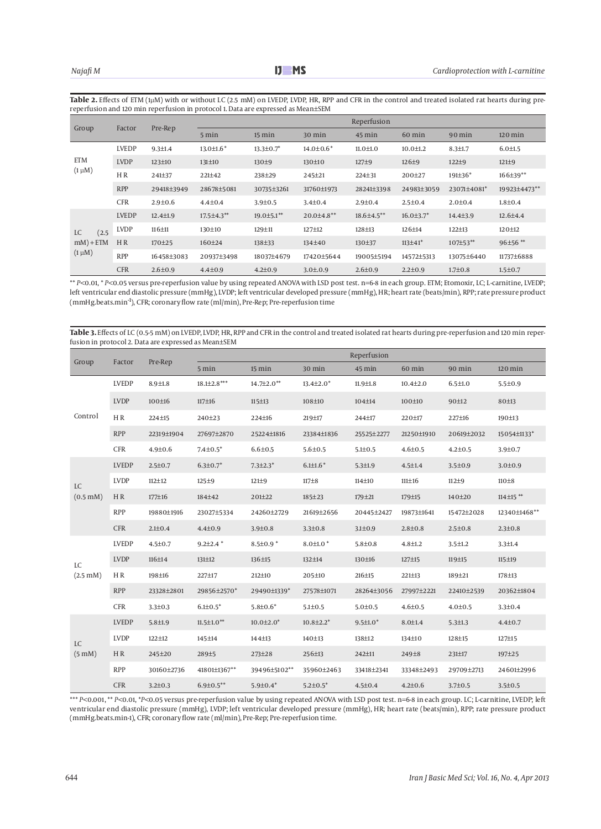Table 2. Effects of ETM (1µM) with or without LC (2.5 mM) on LVEDP, LVDP, HR, RPP and CFR in the control and treated isolated rat hearts during prereperfusion and 120 min reperfusion in protocol 1. Data are expressed as Mean±SEM

| Group                                             | Factor         | Pre-Rep        | Reperfusion      |                   |                  |                     |                  |                       |                |
|---------------------------------------------------|----------------|----------------|------------------|-------------------|------------------|---------------------|------------------|-----------------------|----------------|
|                                                   |                |                | $5 \text{ min}$  | $15 \text{ min}$  | $30$ min         | $45 \,\mathrm{min}$ | 60 min           | $90$ min              | $120$ min      |
|                                                   | <b>LVEDP</b>   | $9.3 \pm 1.4$  | $13.0 \pm 1.6^*$ | $13.3 \pm 0.7^*$  | $14.0 \pm 0.6^*$ | $11.0 \pm 1.0$      | $10.0 \pm 1.2$   | $8.3 \pm 1.7$         | $6.0 \pm 1.5$  |
| <b>ETM</b>                                        | <b>LVDP</b>    | $123 \pm 10$   | 131±10           | 130±9             | 130±10           | 127±9               | 126±9            | 122±9                 | $121 \pm 9$    |
| $(1 \mu M)$                                       | H <sub>R</sub> | 241±37         | 221±42           | 238±29            | 245±21           | 224±31              | 200±27           | $191\pm36*$           | $166\pm39**$   |
|                                                   | <b>RPP</b>     | 29418±3949     | 28678±5081       | 30735±3261        | 31760±1973       | 28241±3398          | 24983±3059       | 23071±4081*           | 19923±4473**   |
|                                                   | <b>CFR</b>     | $2.9 \pm 0.6$  | $4.4{\pm}0.4$    | $3.9 \pm 0.5$     | $3.4 \pm 0.4$    | $2.9 \pm 0.4$       | $2.5 \pm 0.4$    | $2.0 \pm 0.4$         | $1.8{\pm}0.4$  |
|                                                   | <b>LVEDP</b>   | $12.4 \pm 1.9$ | 17.5±4.3**       | $19.0 \pm 5.1$ ** | $20.0\pm4.8**$   | $18.6{\pm}4.5**$    | $16.0 \pm 3.7^*$ | 14.4 <sup>±</sup> 3.9 | $12.6 \pm 4.4$ |
| (2.5)<br><b>LC</b><br>$mM$ ) + ETM<br>$(1 \mu M)$ | <b>LVDP</b>    | $116 + 11$     | 130±10           | 129±11            | 127±12           | 128±13              | 126±14           | $122 \pm 13$          | 120±12         |
|                                                   | H R            | 170±25         | 160±24           | 138±33            | 134±40           | 130±37              | 113±41*          | 107±53**              | 96±56**        |
|                                                   | <b>RPP</b>     | 16458±3083     | 20937±3498       | 18037±4679        | 17420±5644       | 19005±5194          | 14572±5313       | 13075±6440            | 11737±6888     |
|                                                   | <b>CFR</b>     | $2.6 \pm 0.9$  | $4.4 \pm 0.9$    | $4.2 \pm 0.9$     | $3.0{\pm}.0.9$   | $2.6 \pm 0.9$       | $2.2 \pm 0.9$    | $1.7 \pm 0.8$         | $1.5 \pm 0.7$  |

\*\* *P<*0.01, \* *P<*0.05 versus pre-reperfusion value by using repeated ANOVA with LSD post test. n=6-8 in each group. ETM; Etomoxir, LC; L-carnitine, LVEDP; left ventricular end diastolic pressure (mmHg), LVDP; left ventricular developed pressure (mmHg), HR; heart rate (beats/min), RPP; rate pressure product (mmHg.beats.min-1), CFR; coronary flow rate (ml/min), Pre-Rep; Pre-reperfusion time

**Table 3.** Effects of LC (0.5-5 mM) on LVEDP, LVDP, HR, RPP and CFR in the control and treated isolated rat hearts during pre-reperfusion and 120 min reperfusion in protocol 2. Data are expressed as Mean±SEM

| Group                         | Factor       | Pre-Rep       | Reperfusion       |                 |                  |                 |                   |               |                 |
|-------------------------------|--------------|---------------|-------------------|-----------------|------------------|-----------------|-------------------|---------------|-----------------|
|                               |              |               | 5 min             | 15 min          | 30 min           | 45 min          | 60 min            | 90 min        | $120$ min       |
| Control                       | <b>LVEDP</b> | $8.9{\pm}1.8$ | $18.1{\pm}2.8***$ | 14.7±2.0**      | $13.4 \pm 2.0^*$ | $11.9 \pm 1.8$  | $10.4 \pm 2.0$    | $6.5 \pm 1.0$ | $5.5 \pm 0.9$   |
|                               | <b>LVDP</b>  | 100±16        | $117 + 16$        | 115±13          | 108±10           | 104±14          | 100±10            | 90±12         | 80±13           |
|                               | HR           | 224±15        | 240±23            | 224±16          | 219±17           | 244±17          | 220±17            | 227±16        | 190±13          |
|                               | <b>RPP</b>   | 22319±1904    | 27697±2870        | 25224±1816      | 23384±1836       | 25525±2277      | 21250±1910        | 20619±2032    | 15054±1133*     |
|                               | <b>CFR</b>   | $4.9 \pm 0.6$ | $7.4{\pm}0.5^*$   | $6.6{\pm}0.5$   | $5.6{\pm}0.5$    | $5.1 \pm 0.5$   | $4.6{\pm}0.5$     | $4.2 \pm 0.5$ | $3.9 \pm 0.7$   |
|                               | <b>LVEDP</b> | $2.5 \pm 0.7$ | $6.3{\pm}0.7*$    | $7.3 \pm 2.3$ * | $6.1{\pm}1.6*$   | $5.3 \pm 1.9$   | $4.5 + 1.4$       | $3.5 \pm 0.9$ | 3.0 ± 0.9       |
| <b>LC</b>                     | <b>LVDP</b>  | $112 + 12$    | $125 + 9$         | $121\pm9$       | $117 + 8$        | 114±10          | $111 \pm 16$      | $112+9$       | $110\pm8$       |
| $(0.5 \text{ mM})$            | HR           | 177±16        | 184±42            | 201±22          | 185±23           | 179±21          | 179±15            | 140±20        | $114 \pm 15$ ** |
|                               | <b>RPP</b>   | 19880±1916    | 23027±5334        | 24260±2729      | 21619±2656       | 20445±2427      | 19873±1641        | 15472±2028    | 12340±1468**    |
|                               | <b>CFR</b>   | $2.1 \pm 0.4$ | $4.4 \pm 0.9$     | $3.9 \pm 0.8$   | $3.3 \pm 0.8$    | $3.1 \pm 0.9$   | $2.8 + 0.8$       | $2.5 \pm 0.8$ | $2.3 \pm 0.8$   |
|                               | <b>LVEDP</b> | $4.5 \pm 0.7$ | $9.2{\pm}2.4*$    | $8.5 \pm 0.9$ * | $8.0 \pm 1.0$ *  | $5.8 + 0.8$     | $4.8 + 1.2$       | $3.5 \pm 1.2$ | $3.3 \pm 1.4$   |
| LC                            | <b>LVDP</b>  | 116±14        | 131±12            | 136±15          | 132±14           | 130±16          | 127±15            | 119±15        | 115±19          |
| $(2.5 \text{ mM})$            | HR.          | 198±16        | 227±17            | 212±10          | 205±10           | 216±15          | 221±13            | 189±21        | 178±13          |
|                               | <b>RPP</b>   | 23328±2801    | 29856±2570*       | 29490±1339*     | 27578±1071       | 28264±3056      | 27997±2221        | 22410±2539    | 20362±1804      |
|                               | <b>CFR</b>   | $3.3 \pm 0.3$ | $6.1{\pm}0.5*$    | $5.8{\pm}0.6*$  | $5.1 \pm 0.5$    | $5.0{\pm}0.5$   | $4.6{\pm}0.5$     | $4.0{\pm}0.5$ | $3.3 \pm 0.4$   |
|                               | <b>LVEDP</b> | $5.8 + 1.9$   | $11.5 \pm 1.0$ ** | $10.0{\pm}2.0*$ | $10.8{\pm}2.2*$  | $9.5 \pm 1.0^*$ | $8.0 + 1.4$       | $5.3 \pm 1.3$ | $4.4{\pm}0.7$   |
| <b>LC</b><br>$(5 \text{ mM})$ | <b>LVDP</b>  | $122 + 12$    | 145±14            | 144±13          | 140±13           | 138±12          | 134±10            | 128±15        | 127±15          |
|                               | H R          | 245±20        | 289±5             | 273±28          | 256±13           | 242±11          | 249 <sup>±8</sup> | 231±17        | 197±25          |
|                               | <b>RPP</b>   | 30160±2736    | 41801±1367**      | 39496±5102**    | 35960±2463       | 33418±2341      | 33348±2493        | 29709±2713    | 24601±2996      |
|                               | <b>CFR</b>   | $3.2 \pm 0.3$ | $6.9 \pm 0.5***$  | $5.9 \pm 0.4*$  | $5.2 \pm 0.5$ *  | $4.5 \pm 0.4$   | $4.2 \pm 0.6$     | $3.7 + 0.5$   | $3.5 \pm 0.5$   |

\*\*\* *P*<0.001, \*\* *P*<0.01, \**P<*0.05 versus pre-reperfusion value by using repeated ANOVA with LSD post test. n=6-8 in each group. LC; L-carnitine, LVEDP; left ventricular end diastolic pressure (mmHg), LVDP; left ventricular developed pressure (mmHg), HR; heart rate (beats/min), RPP; rate pressure product (mmHg.beats.min-1), CFR; coronary flow rate (ml/min), Pre-Rep; Pre-reperfusion time.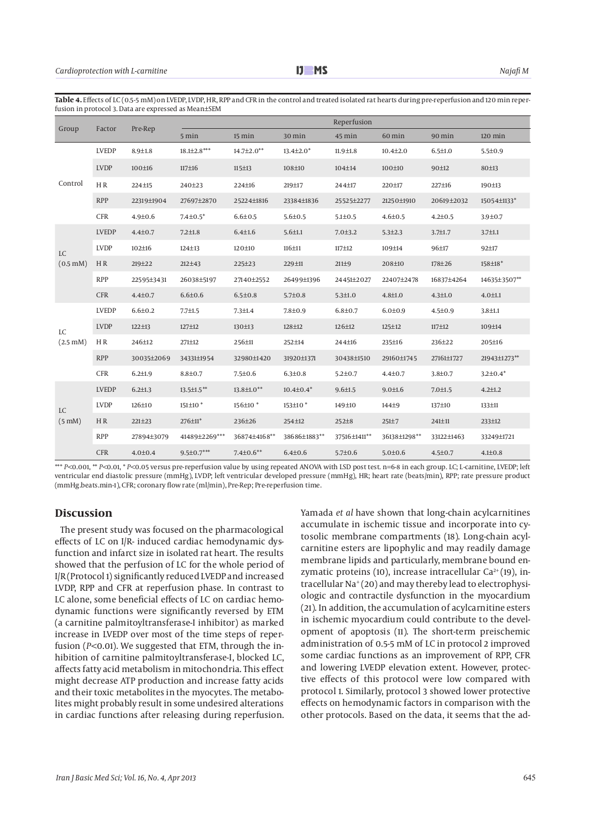| Group                         | Factor       | Pre-Rep       | Reperfusion         |                    |                     |                |                   |               |                |
|-------------------------------|--------------|---------------|---------------------|--------------------|---------------------|----------------|-------------------|---------------|----------------|
|                               |              |               | 5 min               | 15 min             | 30 min              | 45 min         | 60 min            | 90 min        | $120$ min      |
| Control                       | <b>LVEDP</b> | $8.9{\pm}1.8$ | $18.1{\pm}2.8***$   | 14.7±2.0**         | $13.4 \pm 2.0^*$    | $11.9 \pm 1.8$ | $10.4 \pm 2.0$    | $6.5 \pm 1.0$ | $5.5 \pm 0.9$  |
|                               | <b>LVDP</b>  | 100±16        | $117 \pm 16$        | $115 + 13$         | 108±10              | 104±14         | 100±10            | 90±12         | 80±13          |
|                               | HR           | 224±15        | 240±23              | 224±16             | 219±17              | 244±17         | 220±17            | 227±16        | 190±13         |
|                               | <b>RPP</b>   | 22319±1904    | 27697±2870          | 25224±1816         | 23384±1836          | 25525±2277     | 21250±1910        | 20619±2032    | 15054±1133*    |
|                               | <b>CFR</b>   | $4.9 + 0.6$   | $7.4{\pm}0.5^*$     | $6.6{\pm}0.5$      | $5.6{\pm}0.5$       | $5.1 \pm 0.5$  | $4.6 \pm 0.5$     | $4.2 \pm 0.5$ | $3.9 \pm 0.7$  |
|                               | <b>LVEDP</b> | $4.4 \pm 0.7$ | $7.2 \pm 1.8$       | $6.4 + 1.6$        | $5.6 \pm 1.1$       | $7.0 + 3.2$    | $5.3 \pm 2.3$     | $3.7 + 1.7$   | $3.7 \pm 1.1$  |
| <b>LC</b>                     | <b>LVDP</b>  | 102±16        | $124 + 13$          | 120±10             | $116 + 11$          | $117 + 12$     | 109±14            | 96±17         | 92±17          |
| $(0.5 \text{ mM})$            | HR           | 219±22        | $212 + 43$          | 225±23             | 229±11              | $211\pm9$      | 208±10            | 178±26        | 158±18*        |
|                               | <b>RPP</b>   | 22595±3431    | 26038±5197          | 27140±2552         | 26499±1396          | 24451±2027     | 22407±2478        | 16837±4264    | 14635±3507**   |
|                               | <b>CFR</b>   | $4.4 + 0.7$   | $6.6{\pm}0.6$       | $6.5 \pm 0.8$      | $5.7 + 0.8$         | $5.3 \pm 1.0$  | $4.8 + 1.0$       | $4.3 \pm 1.0$ | $4.0 \pm 1.1$  |
|                               | <b>LVEDP</b> | $6.6{\pm}0.2$ | $7.7 + 1.5$         | $7.3 \pm 1.4$      | $7.8 + 0.9$         | $6.8{\pm}0.7$  | $6.0 + 0.9$       | $4.5 \pm 0.9$ | $3.8 + 1.1$    |
| <b>LC</b>                     | <b>LVDP</b>  | $122 \pm 13$  | 127±12              | 130±13             | 128±12              | $126 \pm 12$   | 125±12            | 117±12        | 109±14         |
| $(2.5 \text{ mM})$            | HR           | 246±12        | 271±12              | 256±11             | 252±14              | 244±16         | 235±16            | 236±22        | 205±16         |
|                               | <b>RPP</b>   | 30035±2069    | 34331±1954          | 32980±1420         | 31920±1371          | 30438±1510     | 29160±1745        | 27161±1727    | 21943±1273**   |
|                               | <b>CFR</b>   | $6.2 \pm 1.9$ | $8.8{\pm}0.7$       | $7.5 \pm 0.6$      | $6.3 \pm 0.8$       | $5.2 \pm 0.7$  | $4.4{\pm}0.7$     | $3.8 + 0.7$   | $3.2{\pm}0.4*$ |
|                               | <b>LVEDP</b> | $6.2 \pm 1.3$ | $13.5 \pm 1.5***$   | 13.8±1.0**         | $10.4 \pm 0.4*$     | $9.6 \pm 1.5$  | $9.0 + 1.6$       | $7.0 + 1.5$   | $4.2 \pm 1.2$  |
| <b>LC</b><br>$(5 \text{ mM})$ | <b>LVDP</b>  | 126±10        | 151±10 <sup>*</sup> | 156±10 *           | 153±10 <sup>*</sup> | 149±10         | 144 <sup>±9</sup> | 137±10        | 133±11         |
|                               | HR           | $221 \pm 23$  | 276±11*             | 236±26             | 254±12              | $252 + 8$      | $251 + 7$         | 241±11        | 233±12         |
|                               | <b>RPP</b>   | 27894±3079    | 41489±2269***       | 36874±4168**       | 38686±1883**        | 37516±1411**   | 36138±1298**      | 33122±1463    | 33249±1721     |
|                               | <b>CFR</b>   | $4.0{\pm}0.4$ | $9.5 \pm 0.7***$    | $7.4{\pm}0.6^{**}$ | $6.4{\pm}0.6$       | $5.7 \pm 0.6$  | 5.0 ± 0.6         | $4.5 \pm 0.7$ | $4.1{\pm}0.8$  |

**Table 4.** Effects of LC (0.5-5 mM) on LVEDP, LVDP, HR, RPP and CFR in the control and treated isolated rat hearts during pre-reperfusion and 120 min reperfusion in protocol 3. Data are expressed as Mean±SEM

\*\*\* *P<*0.001, \*\* *P<*0.01, \* *P<*0.05 versus pre-reperfusion value by using repeated ANOVA with LSD post test. n=6-8 in each group. LC; L-carnitine, LVEDP; left ventricular end diastolic pressure (mmHg), LVDP; left ventricular developed pressure (mmHg), HR; heart rate (beats/min), RPP; rate pressure product (mmHg.beats.min-1), CFR; coronary flow rate (ml/min), Pre-Rep; Pre-reperfusion time.

#### **Discussion**

The present study was focused on the pharmacological effects of LC on I/R- induced cardiac hemodynamic dysfunction and infarct size in isolated rat heart. The results showed that the perfusion of LC for the whole period of I/R (Protocol 1) significantly reduced LVEDP and increased LVDP, RPP and CFR at reperfusion phase. In contrast to LC alone, some beneficial effects of LC on cardiac hemodynamic functions were significantly reversed by ETM (a carnitine palmitoyltransferase-I inhibitor) as marked increase in LVEDP over most of the time steps of reperfusion (*P<*0.01). We suggested that ETM, through the inhibition of carnitine palmitoyltransferase-I, blocked LC, affects fatty acid metabolism in mitochondria. This effect might decrease ATP production and increase fatty acids and their toxic metabolites in the myocytes. The metabolites might probably result in some undesired alterations in cardiac functions after releasing during reperfusion. Yamada *et al* have shown that long-chain acylcarnitines accumulate in ischemic tissue and incorporate into cytosolic membrane compartments (18). Long-chain acylcarnitine esters are lipophylic and may readily damage membrane lipids and particularly, membrane bound enzymatic proteins (10), increase intracellular  $Ca^{2+}(19)$ , intracellular Na+ (20) and may thereby lead to electrophysiologic and contractile dysfunction in the myocardium (21). In addition, the accumulation of acylcarnitine esters in ischemic myocardium could contribute to the development of apoptosis (11). The short-term preischemic administration of 0.5-5 mM of LC in protocol 2 improved some cardiac functions as an improvement of RPP, CFR and lowering LVEDP elevation extent. However, protective effects of this protocol were low compared with protocol 1. Similarly, protocol 3 showed lower protective effects on hemodynamic factors in comparison with the other protocols. Based on the data, it seems that the ad